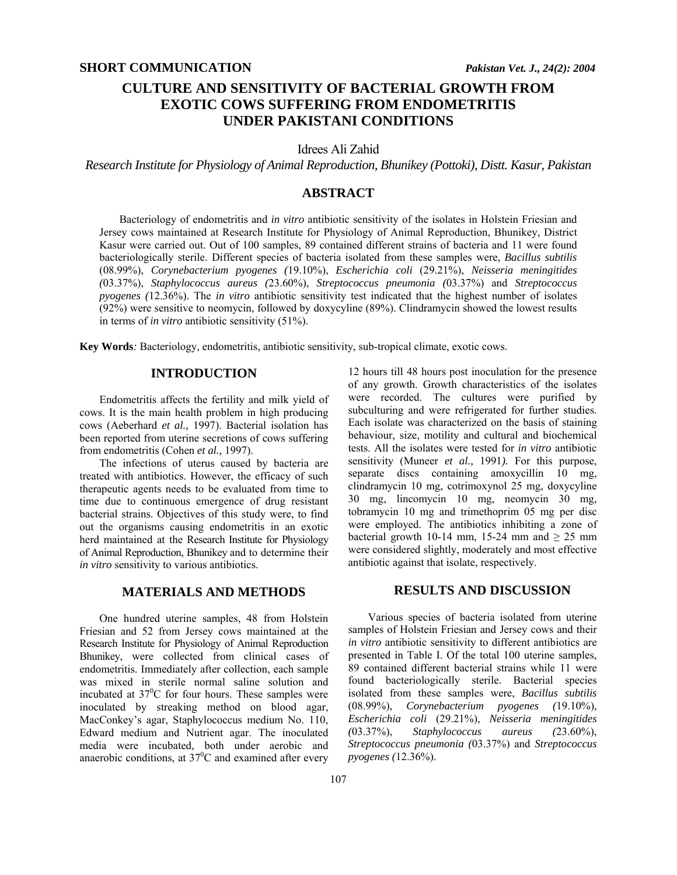# **CULTURE AND SENSITIVITY OF BACTERIAL GROWTH FROM EXOTIC COWS SUFFERING FROM ENDOMETRITIS UNDER PAKISTANI CONDITIONS**

Idrees Ali Zahid

*Research Institute for Physiology of Animal Reproduction, Bhunikey (Pottoki), Distt. Kasur, Pakistan* 

# **ABSTRACT**

Bacteriology of endometritis and *in vitro* antibiotic sensitivity of the isolates in Holstein Friesian and Jersey cows maintained at Research Institute for Physiology of Animal Reproduction, Bhunikey, District Kasur were carried out. Out of 100 samples, 89 contained different strains of bacteria and 11 were found bacteriologically sterile. Different species of bacteria isolated from these samples were, *Bacillus subtilis* (08.99%), *Corynebacterium pyogenes (*19.10%), *Escherichia coli* (29.21%), *Neisseria meningitides (*03.37%), *Staphylococcus aureus (*23.60%), *Streptococcus pneumonia (*03.37%) and *Streptococcus pyogenes (*12.36%). The *in vitro* antibiotic sensitivity test indicated that the highest number of isolates (92%) were sensitive to neomycin, followed by doxycyline (89%). Clindramycin showed the lowest results in terms of *in vitro* antibiotic sensitivity (51%).

**Key Words***:* Bacteriology, endometritis, antibiotic sensitivity, sub-tropical climate, exotic cows.

## **INTRODUCTION**

Endometritis affects the fertility and milk yield of cows. It is the main health problem in high producing cows (Aeberhard *et al.,* 1997). Bacterial isolation has been reported from uterine secretions of cows suffering from endometritis (Cohen *et al.,* 1997).

The infections of uterus caused by bacteria are treated with antibiotics. However, the efficacy of such therapeutic agents needs to be evaluated from time to time due to continuous emergence of drug resistant bacterial strains. Objectives of this study were, to find out the organisms causing endometritis in an exotic herd maintained at the Research Institute for Physiology of Animal Reproduction, Bhunikey and to determine their *in vitro* sensitivity to various antibiotics.

#### **MATERIALS AND METHODS**

One hundred uterine samples, 48 from Holstein Friesian and 52 from Jersey cows maintained at the Research Institute for Physiology of Animal Reproduction Bhunikey, were collected from clinical cases of endometritis. Immediately after collection, each sample was mixed in sterile normal saline solution and incubated at  $37^0C$  for four hours. These samples were inoculated by streaking method on blood agar, MacConkey's agar, Staphylococcus medium No. 110, Edward medium and Nutrient agar. The inoculated media were incubated, both under aerobic and anaerobic conditions, at  $37^{\circ}$ C and examined after every

*in vitro* antibiotic sensitivity to different antibiotics are presented in Table I. Of the total 100 uterine samples, 89 contained different bacterial strains while 11 were found bacteriologically sterile. Bacterial species isolated from these samples were, *Bacillus subtilis*

(08.99%), *Corynebacterium pyogenes (*19.10%), *Escherichia coli* (29.21%), *Neisseria meningitides (*03.37%), *Staphylococcus aureus (*23.60%), *Streptococcus pneumonia (*03.37%) and *Streptococcus pyogenes (*12.36%).

12 hours till 48 hours post inoculation for the presence of any growth. Growth characteristics of the isolates were recorded. The cultures were purified by subculturing and were refrigerated for further studies. Each isolate was characterized on the basis of staining behaviour, size, motility and cultural and biochemical tests. All the isolates were tested for *in vitro* antibiotic sensitivity (Muneer *et al.,* 1991*).* For this purpose, separate discs containing amoxycillin 10 mg, clindramycin 10 mg, cotrimoxynol 25 mg, doxycyline 30 mg, lincomycin 10 mg, neomycin 30 mg, tobramycin 10 mg and trimethoprim 05 mg per disc were employed. The antibiotics inhibiting a zone of bacterial growth 10-14 mm, 15-24 mm and  $\geq$  25 mm were considered slightly, moderately and most effective antibiotic against that isolate, respectively.

#### **RESULTS AND DISCUSSION**

Various species of bacteria isolated from uterine samples of Holstein Friesian and Jersey cows and their